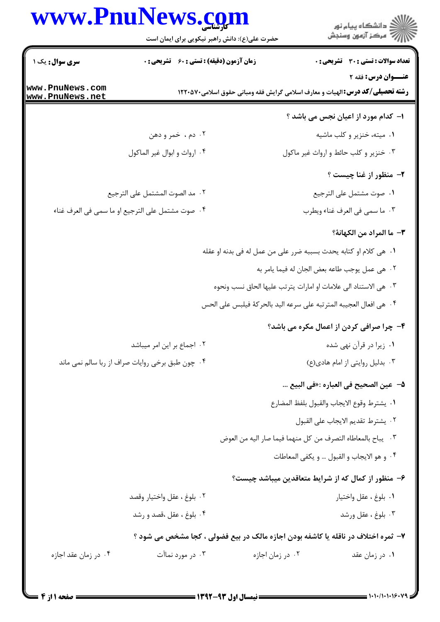## www.PnuNews.com

ے<br>کا اللہ کا دانشگاہ پیام نور<br>کا اللہ

حضرت علی(ع): دانش راهبر نیکویی برای ایمان است

| <b>سری سوال :</b> یک ۱ |                                                  | <b>زمان آزمون (دقیقه) : تستی : 60 گشریحی : 0</b> |                                                                                     | <b>تعداد سوالات : تستی : 30 ٪ تشریحی : 0</b> |
|------------------------|--------------------------------------------------|--------------------------------------------------|-------------------------------------------------------------------------------------|----------------------------------------------|
| www.PnuNews.com        |                                                  |                                                  | <b>رشته تحصیلی/گد درس:</b> الهیات و معارف اسلامی گرایش فقه ومبانی حقوق اسلامی۲۲۰۵۷۰ | <b>عنــوان درس: فقه 2</b>                    |
| www.PnuNews.net        |                                                  |                                                  |                                                                                     |                                              |
|                        |                                                  |                                                  |                                                                                     | ا- کدام مورد از اعیان نجس می باشد ؟          |
|                        | ۰۲ دم، خمر و دهن                                 |                                                  |                                                                                     | ۰۱ میته، خنزیر و کلب ماشیه                   |
|                        | ۰۴ ارواث و ابوال غير الماكول                     |                                                  | ۰۳ خنزیر و کلب حائط و ارواث غیر ماکول                                               |                                              |
|                        |                                                  |                                                  |                                                                                     | ۲- منظور از غنا چیست ؟                       |
|                        | ٠٢ مد الصوت المشتمل على الترجيع                  |                                                  |                                                                                     | ٠١ صوت مشتمل على الترجيع                     |
|                        | ۰۴ صوت مشتمل على الترجيع او ما سمى في العرف غناء |                                                  |                                                                                     | ٠٣ ما سمي في العرف غناء ويطرب                |
|                        |                                                  |                                                  |                                                                                     | ٣- ما المراد من الكهانة؟                     |
|                        |                                                  |                                                  | <b>۱.</b> هي كلام او كتابه يحدث بسببه ضرر على من عمل له في بدنه او عقله             |                                              |
|                        |                                                  |                                                  | ٠٢ هي عمل يوجب طاعه بعض الجان له فيما يامر به                                       |                                              |
|                        |                                                  |                                                  | ٠٣ هي الاستناد الى علامات او امارات يترتب عليها الحاق نسب ونحوه                     |                                              |
|                        |                                                  |                                                  | ۰۴ هي افعال العجيبه المترتبه على سرعه اليد بالحركة فيلبس على الحس                   |                                              |
|                        |                                                  |                                                  | ۴- چرا صرافی کردن از اعمال مکره می باشد؟                                            |                                              |
|                        | ۰۲ اجماع بر این امر میباشد                       |                                                  |                                                                                     | ۰۱ زیرا در قرآن نهی شده                      |
|                        | ۰۴ چون طبق برخی روایات صراف از ربا سالم نمی ماند |                                                  |                                                                                     | ۰۳ بدلیل روایتی از امام هادی(ع)              |
|                        |                                                  |                                                  |                                                                                     | ۵−  عين الصحيح في العباره :«في البيع         |
|                        |                                                  |                                                  | ٠١. يشترط وقوع الايجاب والقبول بلفظ المضارع                                         |                                              |
|                        |                                                  |                                                  |                                                                                     | ٠٢ يشترط تقديم الايجاب على القبول            |
|                        |                                                  |                                                  | ٣. يباح بالمعاطاه التصرف من كل منهما فيما صار اليه من العوض                         |                                              |
|                        |                                                  |                                                  | ۰۴ و هو الايجاب و القبول … و يكفي المعاطات                                          |                                              |
|                        |                                                  |                                                  | ۶- منظور از کمال که از شرایط متعاقدین میباشد چیست؟                                  |                                              |
|                        | ٠٢ بلوغ ، عقل واختيار وقصد                       |                                                  |                                                                                     | ٠١. بلوغ ، عقل واختيار                       |
|                        | ۰۴ بلوغ ، عقل ،قصد و رشد                         |                                                  |                                                                                     | ۰۳ بلوغ ، عقل ورشد                           |
|                        |                                                  |                                                  | ۷- ثمره اختلاف در ناقله یا کاشفه بودن اجازه مالک در بیع فضولی ، کجا مشخص می شود ؟   |                                              |
| ۰۴ در زمان عقد اجازه   | ۰۳ در مورد نماآت                                 |                                                  | ۰۲ در زمان اجازه                                                                    | ۰۱ در زمان عقد                               |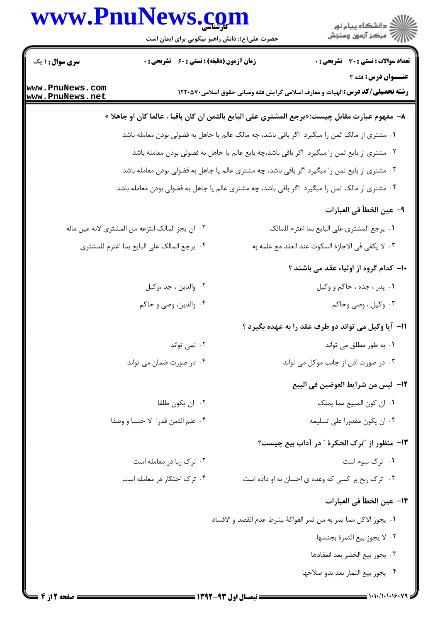## كارشناسي **[www.PnuNews.com](http://www.PnuNews.com)**



حضرت علي(ع): دانش راهبر نيكويي براي ايمان است

| <b>سری سوال : ۱ یک</b>             | <b>زمان آزمون (دقیقه) : تستی : 60 ٪ تشریحی : 0</b>                                                    |                                                                                          | تعداد سوالات : تستي : 30 ٪ تشريحي : 0        |
|------------------------------------|-------------------------------------------------------------------------------------------------------|------------------------------------------------------------------------------------------|----------------------------------------------|
|                                    |                                                                                                       |                                                                                          | <b>عنــوان درس: فقه 2</b>                    |
| www.PnuNews.com<br>www.PnuNews.net |                                                                                                       | <b>رشته تحصیلی/کد درس:</b> الهیات و معارف اسلامی گرایش فقه ومبانی حقوق اسلامی270001 ۱۲۲۰ |                                              |
|                                    | ٨–  مفهوم عبارت مقابل چیست:«یرجع المشتری علی البایع بالثمن ان کان باقیا ، عالما کان او جاهلا »        |                                                                                          |                                              |
|                                    | <b>۱</b> . مشتری از مالک ثمن را میگیرد  اگر باقی باشد، چه مالک عالم یا جاهل به فضولی بودن معامله باشد |                                                                                          |                                              |
|                                    | ۰۲ مشتری از بایع ثمن را میگیرد اگر باقی باشد،چه بایع عالم یا جاهل به فضولی بودن معامله باشد           |                                                                                          |                                              |
|                                    | ۰۳ مشتری از بایع ثمن را میگیرد اگر باقی باشد، چه مشتری عالم یا جاهل به فضولی بودن معامله باشد         |                                                                                          |                                              |
|                                    | ۰۴ مشتری از مالک ثمن را میگیرد اگر باقی باشد، چه مشتری عالم یا جاهل به فضولی بودن معامله باشد         |                                                                                          |                                              |
|                                    |                                                                                                       |                                                                                          | ٩- عين الخطأ في العبارات                     |
|                                    | ٠٢ ان يجز المالک انتزعه من المشترى لانه عين ماله                                                      | ٠١. يرجع المشترى على البايع بما اغترم للمالك                                             |                                              |
|                                    | ۴. يرجع المالك على البايع بما اغترم للمشترى                                                           | ۰۳ لا يكفى فى الاجازة السكوت عند ا <mark>لعق</mark> د مع علمه به                         |                                              |
|                                    |                                                                                                       |                                                                                          | <b>۱۰</b> کدام گروه از اولیاء عقد می باشند ؟ |
|                                    | ٠٢ والدين ، جد ،وكيل                                                                                  |                                                                                          | ۰۱ پدر ، جده ، حاکم و وکیل                   |
|                                    | ۰۴ والدين، وصي و حاكم                                                                                 |                                                                                          | ۰۳ وکیل ، وصی وحاکم                          |
|                                    |                                                                                                       | 11- آیا وکیل می تواند دو طرف عقد را به عهده بگیرد ؟                                      |                                              |
|                                    | ۰۲ نمی تواند                                                                                          |                                                                                          | ۰۱ به طور مطلق می تواند                      |
|                                    | ۰۴ در صورت ضمان می تواند                                                                              | ۰۳ در صورت اذن از جانب موکل می تواند                                                     |                                              |
|                                    |                                                                                                       |                                                                                          | 1٢- ليس من شرايط العوضين في البيع            |
|                                    | ٠٢ ان يكون طلقا                                                                                       |                                                                                          | ٠١. ان كون المبيع مما يملك                   |
|                                    | ۰۴ علم الثمن قدرا لا جنسا و وصفا                                                                      |                                                                                          | ۰۳ ان یکون مقدورا علی تسلیمه                 |
|                                    |                                                                                                       | <b>۱۳</b> - منظور از "ترک الحکرهٔ " در آداب بیع چیست؟                                    |                                              |
|                                    | ۰۲ ترک ربا در معامله است                                                                              |                                                                                          | ۰۱ ترک سوم است                               |
|                                    | ۰۴ ترک احتکار در معامله است                                                                           | ۰۳ ترک ربح بر کسی که وعده ی احسان به او داده است                                         |                                              |
|                                    |                                                                                                       |                                                                                          | ١۴– عين الخطأ في العبارات                    |
|                                    |                                                                                                       | ١.  يجوز الاكل مما يمر به من ثمر الفواكهٔ بشرط عدم القصد و الافساد                       |                                              |
|                                    |                                                                                                       |                                                                                          | ٢. لا يجوز بيع الثمرة بجنسها                 |
|                                    |                                                                                                       |                                                                                          | ٠٣ يجوز بيع الخضر بعد انعقادها               |
|                                    |                                                                                                       |                                                                                          | ۰۴ يجوز بيع الثمار بعد بدو صلاحها            |
|                                    |                                                                                                       |                                                                                          |                                              |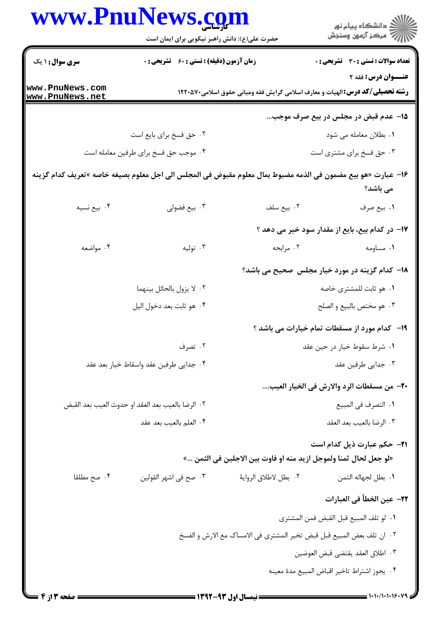|                                    | www.PnuNews.com                                                                                              |                                                                        | ر<br>دانشڪاه پيام نور)<br>ا∛ مرڪز آزمون وسنڊش                                                                 |
|------------------------------------|--------------------------------------------------------------------------------------------------------------|------------------------------------------------------------------------|---------------------------------------------------------------------------------------------------------------|
|                                    | حضرت علی(ع): دانش راهبر نیکویی برای ایمان است                                                                |                                                                        |                                                                                                               |
| <b>سری سوال : ۱ یک</b>             | <b>زمان آزمون (دقیقه) : تستی : 60 گشریحی : 0</b>                                                             |                                                                        | <b>تعداد سوالات : تستی : 30 ٪ تشریحی : 0</b>                                                                  |
| www.PnuNews.com<br>www.PnuNews.net |                                                                                                              |                                                                        | عنــوان درس: فقه ۲<br><b>رشته تحصیلی/کد درس:</b> الهیات و معارف اسلامی گرایش فقه ومبانی حقوق اسلامی٧٠٥٧٠ ۱۲۲۰ |
|                                    |                                                                                                              |                                                                        | ۱۵– عدم قبض در مجلس در بیع صرف موجب…                                                                          |
|                                    | ۰۲ حق فسخ براي بايع است                                                                                      |                                                                        | ۰۱ بطلان معامله می شود                                                                                        |
|                                    | ۰۴ موجب حق فسخ براي طرفين معامله است                                                                         |                                                                        | ۰۳ حق فسخ برای مشتری است                                                                                      |
|                                    | 1۶− عبارت «هو بيع مضمون في الذمه مضبوط بمال معلوم مقبوض في المجلس الي اجل معلوم بصيغه خاصه »تعريف كدام گزينه |                                                                        | می باشد؟                                                                                                      |
| ۰۴ بيع نسيه                        | ۰۳ بيع فضولي                                                                                                 | ٠٢ بيع سلف                                                             | ١. بيع صرف                                                                                                    |
|                                    |                                                                                                              |                                                                        | ۱۷– در کدام بیع، بایع از مقدار سود خبر می دهد ؟                                                               |
| ۰۴ مواضعه                          | ۰۳ تولیه                                                                                                     | ۰۲ مرابحه                                                              | ۰۱ مساومه                                                                                                     |
|                                    |                                                                                                              |                                                                        | <b>۱۸</b> – کدام گزینه در مورد خیار مجلس صحیح می باشد؟                                                        |
|                                    | ٠٢ لا يزول بالحائل بينهما                                                                                    |                                                                        | ۰۱ هو ثابت للمشتری خاصه                                                                                       |
|                                    | ۰۴ هو ثابت بعد دخول اليل                                                                                     |                                                                        | ۰۳ هو مختص بالبيع و الصلح                                                                                     |
|                                    |                                                                                                              |                                                                        | ۱۹- کدام مورد از مسقطات تمام خیارات می باشد ؟                                                                 |
|                                    | ۰۲ تصرف                                                                                                      |                                                                        | ۰۱ شرط سقوط خیار در حین عقد                                                                                   |
|                                    | ۰۴ جدایی طرفین عقد واسقاط خیار بعد عقد                                                                       |                                                                        | ۰۳ جدایی طرفین عقد                                                                                            |
|                                    |                                                                                                              |                                                                        | ٢٠– من مسقطات الرد والارش في الخيار العيب                                                                     |
|                                    | ٢٠. الرضا بالعيب بعد العقد او حدوث العيب بعد القبض                                                           |                                                                        | ٠١. التصرف في المبيع                                                                                          |
|                                    | ٠۴ العلم بالعيب بعد عقد                                                                                      |                                                                        | ٠٣ الرضا بالعيب بعد العقد                                                                                     |
|                                    |                                                                                                              |                                                                        | <b>٣١- حكم عبارت ذيل كدام است</b>                                                                             |
|                                    |                                                                                                              | «لو جعل لحال ثمنا ولموجل ازيد منه او فاوت بين الاجلين في الثمن …»      |                                                                                                               |
| ۰۴ صح مطلقا                        | ۰۳ صح في اشهر القولين                                                                                        | ٠٢ بطل لاطلاق الرواية                                                  | ٠١. بطل لجهاله الثمن                                                                                          |
|                                    |                                                                                                              |                                                                        | ٢٢– عين الخطأ في العبارات                                                                                     |
|                                    |                                                                                                              |                                                                        | ٠١. لو تلف المبيع قبل القبض فمن المشترى                                                                       |
|                                    |                                                                                                              | ٢.  ان تلف بعض المبيع قبل قبض تخير المشترى في الامساك مع الارش و الفسخ |                                                                                                               |
|                                    |                                                                                                              |                                                                        | ٠٣ اطلاق العقد يقتضى قبض العوضين                                                                              |
|                                    |                                                                                                              |                                                                        | ۰۴ يجوز اشتراط تاخير اقباض المبيع مدة معينه                                                                   |
|                                    |                                                                                                              |                                                                        |                                                                                                               |